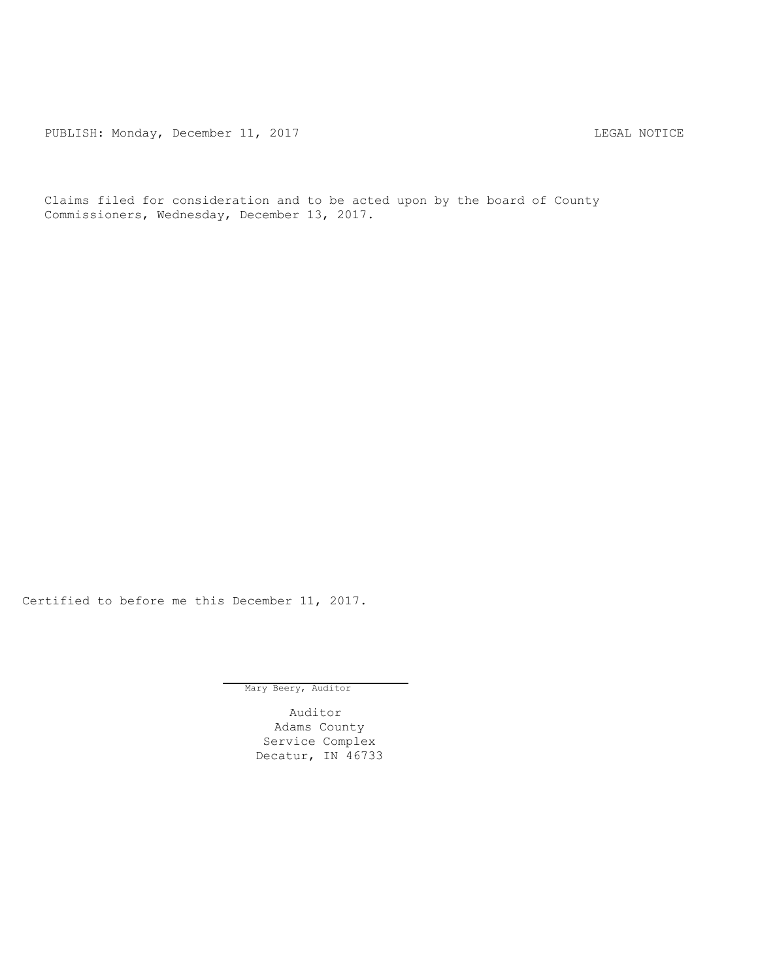PUBLISH: Monday, December 11, 2017 TUBLISH: MOTICE

Claims filed for consideration and to be acted upon by the board of County Commissioners, Wednesday, December 13, 2017.

Certified to before me this December 11, 2017.

Mary Beery, Auditor

Auditor Adams County Service Complex Decatur, IN 46733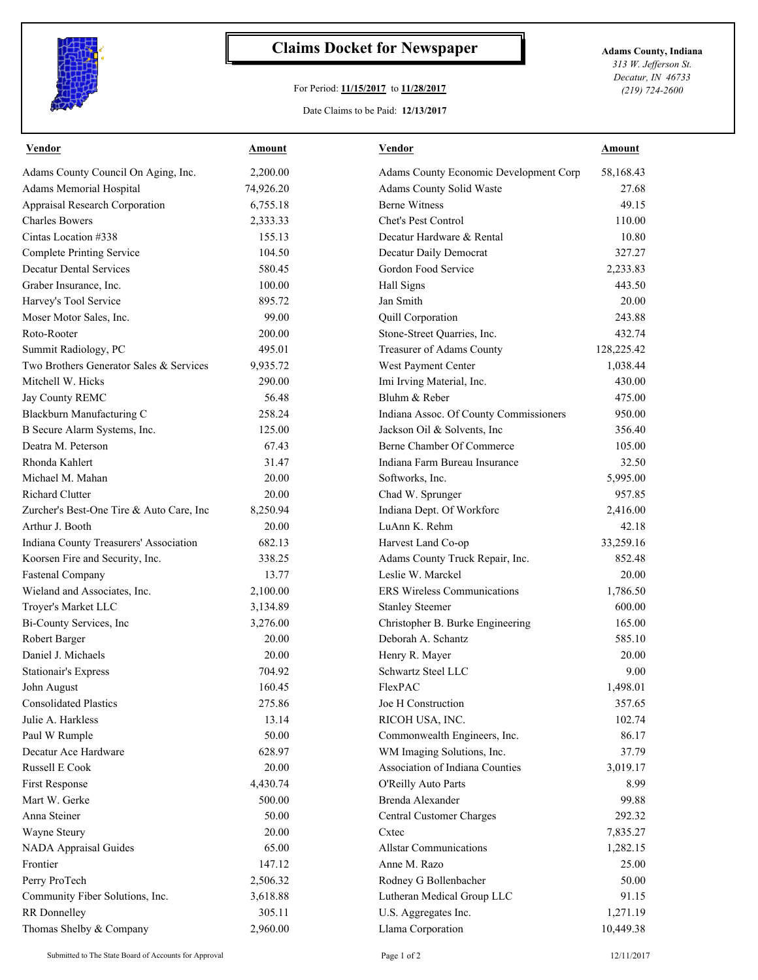

## **Claims Docket for Newspaper Adams County, Indiana**

## For Period: **11/15/2017** to **11/28/2017**

Date Claims to be Paid: **12/13/2017**

*313 W. Jefferson St. Decatur, IN 46733 (219) 724-2600*

| 58,168.43<br>Adams County Council On Aging, Inc.<br>2,200.00<br>Adams County Economic Development Corp<br>Adams Memorial Hospital<br>Adams County Solid Waste<br>27.68<br>74,926.20<br><b>Berne Witness</b><br>Appraisal Research Corporation<br>6,755.18<br>49.15<br><b>Charles Bowers</b><br>Chet's Pest Control<br>2,333.33<br>110.00<br>Cintas Location #338<br>155.13<br>Decatur Hardware & Rental<br>10.80<br>Decatur Daily Democrat<br><b>Complete Printing Service</b><br>104.50<br>327.27<br><b>Decatur Dental Services</b><br>Gordon Food Service<br>580.45<br>2,233.83<br>443.50<br>Graber Insurance, Inc.<br>100.00<br>Hall Signs<br>Harvey's Tool Service<br>Jan Smith<br>20.00<br>895.72<br>Moser Motor Sales, Inc.<br>99.00<br>Quill Corporation<br>243.88<br>Roto-Rooter<br>Stone-Street Quarries, Inc.<br>432.74<br>200.00<br>Treasurer of Adams County<br>128,225.42<br>Summit Radiology, PC<br>495.01<br>Two Brothers Generator Sales & Services<br>West Payment Center<br>9,935.72<br>1,038.44<br>Mitchell W. Hicks<br>Imi Irving Material, Inc.<br>430.00<br>290.00<br>Bluhm & Reber<br>56.48<br>475.00<br>Jay County REMC<br>Blackburn Manufacturing C<br>258.24<br>Indiana Assoc. Of County Commissioners<br>950.00<br>Jackson Oil & Solvents, Inc.<br>B Secure Alarm Systems, Inc.<br>125.00<br>356.40<br>Berne Chamber Of Commerce<br>Deatra M. Peterson<br>67.43<br>105.00<br>Rhonda Kahlert<br>Indiana Farm Bureau Insurance<br>32.50<br>31.47<br>Michael M. Mahan<br>20.00<br>Softworks, Inc.<br>5,995.00<br><b>Richard Clutter</b><br>957.85<br>20.00<br>Chad W. Sprunger<br>Indiana Dept. Of Workforc<br>2,416.00<br>Zurcher's Best-One Tire & Auto Care, Inc<br>8,250.94<br>LuAnn K. Rehm<br>Arthur J. Booth<br>20.00<br>42.18<br>Indiana County Treasurers' Association<br>33,259.16<br>682.13<br>Harvest Land Co-op<br>Koorsen Fire and Security, Inc.<br>Adams County Truck Repair, Inc.<br>852.48<br>338.25<br><b>Fastenal Company</b><br>13.77<br>Leslie W. Marckel<br>20.00<br>Wieland and Associates, Inc.<br><b>ERS</b> Wireless Communications<br>2,100.00<br>1,786.50<br>600.00<br>Troyer's Market LLC<br>3,134.89<br><b>Stanley Steemer</b><br>Bi-County Services, Inc<br>165.00<br>3,276.00<br>Christopher B. Burke Engineering<br>Deborah A. Schantz<br>585.10<br>Robert Barger<br>20.00<br>Daniel J. Michaels<br>20.00<br>Henry R. Mayer<br>20.00<br>Schwartz Steel LLC<br>704.92<br><b>Stationair's Express</b><br>9.00<br>160.45<br>1,498.01<br><b>FlexPAC</b><br>John August<br><b>Consolidated Plastics</b><br>Joe H Construction<br>275.86<br>357.65<br>Julie A. Harkless<br>13.14<br>RICOH USA, INC.<br>102.74<br>Paul W Rumple<br>50.00<br>Commonwealth Engineers, Inc.<br>86.17<br>Decatur Ace Hardware<br>628.97<br>WM Imaging Solutions, Inc.<br>37.79<br>Association of Indiana Counties<br>Russell E Cook<br>20.00<br>3,019.17<br>4,430.74<br>O'Reilly Auto Parts<br>8.99<br>First Response<br>500.00<br>Brenda Alexander<br>Mart W. Gerke<br>99.88<br>50.00<br>Anna Steiner<br>Central Customer Charges<br>292.32<br>Wayne Steury<br>20.00<br>Cxtec<br>7,835.27<br>65.00<br><b>NADA Appraisal Guides</b><br><b>Allstar Communications</b><br>1,282.15<br>147.12<br>Anne M. Razo<br>Frontier<br>25.00<br>Perry ProTech<br>2,506.32<br>Rodney G Bollenbacher<br>50.00<br>Community Fiber Solutions, Inc.<br>3,618.88<br>Lutheran Medical Group LLC<br>91.15<br>U.S. Aggregates Inc.<br>RR Donnelley<br>305.11<br>1,271.19 | <b>Vendor</b>           | Amount   | <b>Vendor</b>     | <b>Amount</b> |
|-----------------------------------------------------------------------------------------------------------------------------------------------------------------------------------------------------------------------------------------------------------------------------------------------------------------------------------------------------------------------------------------------------------------------------------------------------------------------------------------------------------------------------------------------------------------------------------------------------------------------------------------------------------------------------------------------------------------------------------------------------------------------------------------------------------------------------------------------------------------------------------------------------------------------------------------------------------------------------------------------------------------------------------------------------------------------------------------------------------------------------------------------------------------------------------------------------------------------------------------------------------------------------------------------------------------------------------------------------------------------------------------------------------------------------------------------------------------------------------------------------------------------------------------------------------------------------------------------------------------------------------------------------------------------------------------------------------------------------------------------------------------------------------------------------------------------------------------------------------------------------------------------------------------------------------------------------------------------------------------------------------------------------------------------------------------------------------------------------------------------------------------------------------------------------------------------------------------------------------------------------------------------------------------------------------------------------------------------------------------------------------------------------------------------------------------------------------------------------------------------------------------------------------------------------------------------------------------------------------------------------------------------------------------------------------------------------------------------------------------------------------------------------------------------------------------------------------------------------------------------------------------------------------------------------------------------------------------------------------------------------------------------------------------------------------------------------------------------------------------------------------------------------------------------------------------------------------------------------------------------------------------------------------------------------------------------------------------------------------------------------------------------------------------------------------------------------------------------------------|-------------------------|----------|-------------------|---------------|
|                                                                                                                                                                                                                                                                                                                                                                                                                                                                                                                                                                                                                                                                                                                                                                                                                                                                                                                                                                                                                                                                                                                                                                                                                                                                                                                                                                                                                                                                                                                                                                                                                                                                                                                                                                                                                                                                                                                                                                                                                                                                                                                                                                                                                                                                                                                                                                                                                                                                                                                                                                                                                                                                                                                                                                                                                                                                                                                                                                                                                                                                                                                                                                                                                                                                                                                                                                                                                                                                                   |                         |          |                   |               |
|                                                                                                                                                                                                                                                                                                                                                                                                                                                                                                                                                                                                                                                                                                                                                                                                                                                                                                                                                                                                                                                                                                                                                                                                                                                                                                                                                                                                                                                                                                                                                                                                                                                                                                                                                                                                                                                                                                                                                                                                                                                                                                                                                                                                                                                                                                                                                                                                                                                                                                                                                                                                                                                                                                                                                                                                                                                                                                                                                                                                                                                                                                                                                                                                                                                                                                                                                                                                                                                                                   |                         |          |                   |               |
|                                                                                                                                                                                                                                                                                                                                                                                                                                                                                                                                                                                                                                                                                                                                                                                                                                                                                                                                                                                                                                                                                                                                                                                                                                                                                                                                                                                                                                                                                                                                                                                                                                                                                                                                                                                                                                                                                                                                                                                                                                                                                                                                                                                                                                                                                                                                                                                                                                                                                                                                                                                                                                                                                                                                                                                                                                                                                                                                                                                                                                                                                                                                                                                                                                                                                                                                                                                                                                                                                   |                         |          |                   |               |
|                                                                                                                                                                                                                                                                                                                                                                                                                                                                                                                                                                                                                                                                                                                                                                                                                                                                                                                                                                                                                                                                                                                                                                                                                                                                                                                                                                                                                                                                                                                                                                                                                                                                                                                                                                                                                                                                                                                                                                                                                                                                                                                                                                                                                                                                                                                                                                                                                                                                                                                                                                                                                                                                                                                                                                                                                                                                                                                                                                                                                                                                                                                                                                                                                                                                                                                                                                                                                                                                                   |                         |          |                   |               |
|                                                                                                                                                                                                                                                                                                                                                                                                                                                                                                                                                                                                                                                                                                                                                                                                                                                                                                                                                                                                                                                                                                                                                                                                                                                                                                                                                                                                                                                                                                                                                                                                                                                                                                                                                                                                                                                                                                                                                                                                                                                                                                                                                                                                                                                                                                                                                                                                                                                                                                                                                                                                                                                                                                                                                                                                                                                                                                                                                                                                                                                                                                                                                                                                                                                                                                                                                                                                                                                                                   |                         |          |                   |               |
|                                                                                                                                                                                                                                                                                                                                                                                                                                                                                                                                                                                                                                                                                                                                                                                                                                                                                                                                                                                                                                                                                                                                                                                                                                                                                                                                                                                                                                                                                                                                                                                                                                                                                                                                                                                                                                                                                                                                                                                                                                                                                                                                                                                                                                                                                                                                                                                                                                                                                                                                                                                                                                                                                                                                                                                                                                                                                                                                                                                                                                                                                                                                                                                                                                                                                                                                                                                                                                                                                   |                         |          |                   |               |
|                                                                                                                                                                                                                                                                                                                                                                                                                                                                                                                                                                                                                                                                                                                                                                                                                                                                                                                                                                                                                                                                                                                                                                                                                                                                                                                                                                                                                                                                                                                                                                                                                                                                                                                                                                                                                                                                                                                                                                                                                                                                                                                                                                                                                                                                                                                                                                                                                                                                                                                                                                                                                                                                                                                                                                                                                                                                                                                                                                                                                                                                                                                                                                                                                                                                                                                                                                                                                                                                                   |                         |          |                   |               |
|                                                                                                                                                                                                                                                                                                                                                                                                                                                                                                                                                                                                                                                                                                                                                                                                                                                                                                                                                                                                                                                                                                                                                                                                                                                                                                                                                                                                                                                                                                                                                                                                                                                                                                                                                                                                                                                                                                                                                                                                                                                                                                                                                                                                                                                                                                                                                                                                                                                                                                                                                                                                                                                                                                                                                                                                                                                                                                                                                                                                                                                                                                                                                                                                                                                                                                                                                                                                                                                                                   |                         |          |                   |               |
|                                                                                                                                                                                                                                                                                                                                                                                                                                                                                                                                                                                                                                                                                                                                                                                                                                                                                                                                                                                                                                                                                                                                                                                                                                                                                                                                                                                                                                                                                                                                                                                                                                                                                                                                                                                                                                                                                                                                                                                                                                                                                                                                                                                                                                                                                                                                                                                                                                                                                                                                                                                                                                                                                                                                                                                                                                                                                                                                                                                                                                                                                                                                                                                                                                                                                                                                                                                                                                                                                   |                         |          |                   |               |
|                                                                                                                                                                                                                                                                                                                                                                                                                                                                                                                                                                                                                                                                                                                                                                                                                                                                                                                                                                                                                                                                                                                                                                                                                                                                                                                                                                                                                                                                                                                                                                                                                                                                                                                                                                                                                                                                                                                                                                                                                                                                                                                                                                                                                                                                                                                                                                                                                                                                                                                                                                                                                                                                                                                                                                                                                                                                                                                                                                                                                                                                                                                                                                                                                                                                                                                                                                                                                                                                                   |                         |          |                   |               |
|                                                                                                                                                                                                                                                                                                                                                                                                                                                                                                                                                                                                                                                                                                                                                                                                                                                                                                                                                                                                                                                                                                                                                                                                                                                                                                                                                                                                                                                                                                                                                                                                                                                                                                                                                                                                                                                                                                                                                                                                                                                                                                                                                                                                                                                                                                                                                                                                                                                                                                                                                                                                                                                                                                                                                                                                                                                                                                                                                                                                                                                                                                                                                                                                                                                                                                                                                                                                                                                                                   |                         |          |                   |               |
|                                                                                                                                                                                                                                                                                                                                                                                                                                                                                                                                                                                                                                                                                                                                                                                                                                                                                                                                                                                                                                                                                                                                                                                                                                                                                                                                                                                                                                                                                                                                                                                                                                                                                                                                                                                                                                                                                                                                                                                                                                                                                                                                                                                                                                                                                                                                                                                                                                                                                                                                                                                                                                                                                                                                                                                                                                                                                                                                                                                                                                                                                                                                                                                                                                                                                                                                                                                                                                                                                   |                         |          |                   |               |
|                                                                                                                                                                                                                                                                                                                                                                                                                                                                                                                                                                                                                                                                                                                                                                                                                                                                                                                                                                                                                                                                                                                                                                                                                                                                                                                                                                                                                                                                                                                                                                                                                                                                                                                                                                                                                                                                                                                                                                                                                                                                                                                                                                                                                                                                                                                                                                                                                                                                                                                                                                                                                                                                                                                                                                                                                                                                                                                                                                                                                                                                                                                                                                                                                                                                                                                                                                                                                                                                                   |                         |          |                   |               |
|                                                                                                                                                                                                                                                                                                                                                                                                                                                                                                                                                                                                                                                                                                                                                                                                                                                                                                                                                                                                                                                                                                                                                                                                                                                                                                                                                                                                                                                                                                                                                                                                                                                                                                                                                                                                                                                                                                                                                                                                                                                                                                                                                                                                                                                                                                                                                                                                                                                                                                                                                                                                                                                                                                                                                                                                                                                                                                                                                                                                                                                                                                                                                                                                                                                                                                                                                                                                                                                                                   |                         |          |                   |               |
|                                                                                                                                                                                                                                                                                                                                                                                                                                                                                                                                                                                                                                                                                                                                                                                                                                                                                                                                                                                                                                                                                                                                                                                                                                                                                                                                                                                                                                                                                                                                                                                                                                                                                                                                                                                                                                                                                                                                                                                                                                                                                                                                                                                                                                                                                                                                                                                                                                                                                                                                                                                                                                                                                                                                                                                                                                                                                                                                                                                                                                                                                                                                                                                                                                                                                                                                                                                                                                                                                   |                         |          |                   |               |
|                                                                                                                                                                                                                                                                                                                                                                                                                                                                                                                                                                                                                                                                                                                                                                                                                                                                                                                                                                                                                                                                                                                                                                                                                                                                                                                                                                                                                                                                                                                                                                                                                                                                                                                                                                                                                                                                                                                                                                                                                                                                                                                                                                                                                                                                                                                                                                                                                                                                                                                                                                                                                                                                                                                                                                                                                                                                                                                                                                                                                                                                                                                                                                                                                                                                                                                                                                                                                                                                                   |                         |          |                   |               |
|                                                                                                                                                                                                                                                                                                                                                                                                                                                                                                                                                                                                                                                                                                                                                                                                                                                                                                                                                                                                                                                                                                                                                                                                                                                                                                                                                                                                                                                                                                                                                                                                                                                                                                                                                                                                                                                                                                                                                                                                                                                                                                                                                                                                                                                                                                                                                                                                                                                                                                                                                                                                                                                                                                                                                                                                                                                                                                                                                                                                                                                                                                                                                                                                                                                                                                                                                                                                                                                                                   |                         |          |                   |               |
|                                                                                                                                                                                                                                                                                                                                                                                                                                                                                                                                                                                                                                                                                                                                                                                                                                                                                                                                                                                                                                                                                                                                                                                                                                                                                                                                                                                                                                                                                                                                                                                                                                                                                                                                                                                                                                                                                                                                                                                                                                                                                                                                                                                                                                                                                                                                                                                                                                                                                                                                                                                                                                                                                                                                                                                                                                                                                                                                                                                                                                                                                                                                                                                                                                                                                                                                                                                                                                                                                   |                         |          |                   |               |
|                                                                                                                                                                                                                                                                                                                                                                                                                                                                                                                                                                                                                                                                                                                                                                                                                                                                                                                                                                                                                                                                                                                                                                                                                                                                                                                                                                                                                                                                                                                                                                                                                                                                                                                                                                                                                                                                                                                                                                                                                                                                                                                                                                                                                                                                                                                                                                                                                                                                                                                                                                                                                                                                                                                                                                                                                                                                                                                                                                                                                                                                                                                                                                                                                                                                                                                                                                                                                                                                                   |                         |          |                   |               |
|                                                                                                                                                                                                                                                                                                                                                                                                                                                                                                                                                                                                                                                                                                                                                                                                                                                                                                                                                                                                                                                                                                                                                                                                                                                                                                                                                                                                                                                                                                                                                                                                                                                                                                                                                                                                                                                                                                                                                                                                                                                                                                                                                                                                                                                                                                                                                                                                                                                                                                                                                                                                                                                                                                                                                                                                                                                                                                                                                                                                                                                                                                                                                                                                                                                                                                                                                                                                                                                                                   |                         |          |                   |               |
|                                                                                                                                                                                                                                                                                                                                                                                                                                                                                                                                                                                                                                                                                                                                                                                                                                                                                                                                                                                                                                                                                                                                                                                                                                                                                                                                                                                                                                                                                                                                                                                                                                                                                                                                                                                                                                                                                                                                                                                                                                                                                                                                                                                                                                                                                                                                                                                                                                                                                                                                                                                                                                                                                                                                                                                                                                                                                                                                                                                                                                                                                                                                                                                                                                                                                                                                                                                                                                                                                   |                         |          |                   |               |
|                                                                                                                                                                                                                                                                                                                                                                                                                                                                                                                                                                                                                                                                                                                                                                                                                                                                                                                                                                                                                                                                                                                                                                                                                                                                                                                                                                                                                                                                                                                                                                                                                                                                                                                                                                                                                                                                                                                                                                                                                                                                                                                                                                                                                                                                                                                                                                                                                                                                                                                                                                                                                                                                                                                                                                                                                                                                                                                                                                                                                                                                                                                                                                                                                                                                                                                                                                                                                                                                                   |                         |          |                   |               |
|                                                                                                                                                                                                                                                                                                                                                                                                                                                                                                                                                                                                                                                                                                                                                                                                                                                                                                                                                                                                                                                                                                                                                                                                                                                                                                                                                                                                                                                                                                                                                                                                                                                                                                                                                                                                                                                                                                                                                                                                                                                                                                                                                                                                                                                                                                                                                                                                                                                                                                                                                                                                                                                                                                                                                                                                                                                                                                                                                                                                                                                                                                                                                                                                                                                                                                                                                                                                                                                                                   |                         |          |                   |               |
|                                                                                                                                                                                                                                                                                                                                                                                                                                                                                                                                                                                                                                                                                                                                                                                                                                                                                                                                                                                                                                                                                                                                                                                                                                                                                                                                                                                                                                                                                                                                                                                                                                                                                                                                                                                                                                                                                                                                                                                                                                                                                                                                                                                                                                                                                                                                                                                                                                                                                                                                                                                                                                                                                                                                                                                                                                                                                                                                                                                                                                                                                                                                                                                                                                                                                                                                                                                                                                                                                   |                         |          |                   |               |
|                                                                                                                                                                                                                                                                                                                                                                                                                                                                                                                                                                                                                                                                                                                                                                                                                                                                                                                                                                                                                                                                                                                                                                                                                                                                                                                                                                                                                                                                                                                                                                                                                                                                                                                                                                                                                                                                                                                                                                                                                                                                                                                                                                                                                                                                                                                                                                                                                                                                                                                                                                                                                                                                                                                                                                                                                                                                                                                                                                                                                                                                                                                                                                                                                                                                                                                                                                                                                                                                                   |                         |          |                   |               |
|                                                                                                                                                                                                                                                                                                                                                                                                                                                                                                                                                                                                                                                                                                                                                                                                                                                                                                                                                                                                                                                                                                                                                                                                                                                                                                                                                                                                                                                                                                                                                                                                                                                                                                                                                                                                                                                                                                                                                                                                                                                                                                                                                                                                                                                                                                                                                                                                                                                                                                                                                                                                                                                                                                                                                                                                                                                                                                                                                                                                                                                                                                                                                                                                                                                                                                                                                                                                                                                                                   |                         |          |                   |               |
|                                                                                                                                                                                                                                                                                                                                                                                                                                                                                                                                                                                                                                                                                                                                                                                                                                                                                                                                                                                                                                                                                                                                                                                                                                                                                                                                                                                                                                                                                                                                                                                                                                                                                                                                                                                                                                                                                                                                                                                                                                                                                                                                                                                                                                                                                                                                                                                                                                                                                                                                                                                                                                                                                                                                                                                                                                                                                                                                                                                                                                                                                                                                                                                                                                                                                                                                                                                                                                                                                   |                         |          |                   |               |
|                                                                                                                                                                                                                                                                                                                                                                                                                                                                                                                                                                                                                                                                                                                                                                                                                                                                                                                                                                                                                                                                                                                                                                                                                                                                                                                                                                                                                                                                                                                                                                                                                                                                                                                                                                                                                                                                                                                                                                                                                                                                                                                                                                                                                                                                                                                                                                                                                                                                                                                                                                                                                                                                                                                                                                                                                                                                                                                                                                                                                                                                                                                                                                                                                                                                                                                                                                                                                                                                                   |                         |          |                   |               |
|                                                                                                                                                                                                                                                                                                                                                                                                                                                                                                                                                                                                                                                                                                                                                                                                                                                                                                                                                                                                                                                                                                                                                                                                                                                                                                                                                                                                                                                                                                                                                                                                                                                                                                                                                                                                                                                                                                                                                                                                                                                                                                                                                                                                                                                                                                                                                                                                                                                                                                                                                                                                                                                                                                                                                                                                                                                                                                                                                                                                                                                                                                                                                                                                                                                                                                                                                                                                                                                                                   |                         |          |                   |               |
|                                                                                                                                                                                                                                                                                                                                                                                                                                                                                                                                                                                                                                                                                                                                                                                                                                                                                                                                                                                                                                                                                                                                                                                                                                                                                                                                                                                                                                                                                                                                                                                                                                                                                                                                                                                                                                                                                                                                                                                                                                                                                                                                                                                                                                                                                                                                                                                                                                                                                                                                                                                                                                                                                                                                                                                                                                                                                                                                                                                                                                                                                                                                                                                                                                                                                                                                                                                                                                                                                   |                         |          |                   |               |
|                                                                                                                                                                                                                                                                                                                                                                                                                                                                                                                                                                                                                                                                                                                                                                                                                                                                                                                                                                                                                                                                                                                                                                                                                                                                                                                                                                                                                                                                                                                                                                                                                                                                                                                                                                                                                                                                                                                                                                                                                                                                                                                                                                                                                                                                                                                                                                                                                                                                                                                                                                                                                                                                                                                                                                                                                                                                                                                                                                                                                                                                                                                                                                                                                                                                                                                                                                                                                                                                                   |                         |          |                   |               |
|                                                                                                                                                                                                                                                                                                                                                                                                                                                                                                                                                                                                                                                                                                                                                                                                                                                                                                                                                                                                                                                                                                                                                                                                                                                                                                                                                                                                                                                                                                                                                                                                                                                                                                                                                                                                                                                                                                                                                                                                                                                                                                                                                                                                                                                                                                                                                                                                                                                                                                                                                                                                                                                                                                                                                                                                                                                                                                                                                                                                                                                                                                                                                                                                                                                                                                                                                                                                                                                                                   |                         |          |                   |               |
|                                                                                                                                                                                                                                                                                                                                                                                                                                                                                                                                                                                                                                                                                                                                                                                                                                                                                                                                                                                                                                                                                                                                                                                                                                                                                                                                                                                                                                                                                                                                                                                                                                                                                                                                                                                                                                                                                                                                                                                                                                                                                                                                                                                                                                                                                                                                                                                                                                                                                                                                                                                                                                                                                                                                                                                                                                                                                                                                                                                                                                                                                                                                                                                                                                                                                                                                                                                                                                                                                   |                         |          |                   |               |
|                                                                                                                                                                                                                                                                                                                                                                                                                                                                                                                                                                                                                                                                                                                                                                                                                                                                                                                                                                                                                                                                                                                                                                                                                                                                                                                                                                                                                                                                                                                                                                                                                                                                                                                                                                                                                                                                                                                                                                                                                                                                                                                                                                                                                                                                                                                                                                                                                                                                                                                                                                                                                                                                                                                                                                                                                                                                                                                                                                                                                                                                                                                                                                                                                                                                                                                                                                                                                                                                                   |                         |          |                   |               |
|                                                                                                                                                                                                                                                                                                                                                                                                                                                                                                                                                                                                                                                                                                                                                                                                                                                                                                                                                                                                                                                                                                                                                                                                                                                                                                                                                                                                                                                                                                                                                                                                                                                                                                                                                                                                                                                                                                                                                                                                                                                                                                                                                                                                                                                                                                                                                                                                                                                                                                                                                                                                                                                                                                                                                                                                                                                                                                                                                                                                                                                                                                                                                                                                                                                                                                                                                                                                                                                                                   |                         |          |                   |               |
|                                                                                                                                                                                                                                                                                                                                                                                                                                                                                                                                                                                                                                                                                                                                                                                                                                                                                                                                                                                                                                                                                                                                                                                                                                                                                                                                                                                                                                                                                                                                                                                                                                                                                                                                                                                                                                                                                                                                                                                                                                                                                                                                                                                                                                                                                                                                                                                                                                                                                                                                                                                                                                                                                                                                                                                                                                                                                                                                                                                                                                                                                                                                                                                                                                                                                                                                                                                                                                                                                   |                         |          |                   |               |
|                                                                                                                                                                                                                                                                                                                                                                                                                                                                                                                                                                                                                                                                                                                                                                                                                                                                                                                                                                                                                                                                                                                                                                                                                                                                                                                                                                                                                                                                                                                                                                                                                                                                                                                                                                                                                                                                                                                                                                                                                                                                                                                                                                                                                                                                                                                                                                                                                                                                                                                                                                                                                                                                                                                                                                                                                                                                                                                                                                                                                                                                                                                                                                                                                                                                                                                                                                                                                                                                                   |                         |          |                   |               |
|                                                                                                                                                                                                                                                                                                                                                                                                                                                                                                                                                                                                                                                                                                                                                                                                                                                                                                                                                                                                                                                                                                                                                                                                                                                                                                                                                                                                                                                                                                                                                                                                                                                                                                                                                                                                                                                                                                                                                                                                                                                                                                                                                                                                                                                                                                                                                                                                                                                                                                                                                                                                                                                                                                                                                                                                                                                                                                                                                                                                                                                                                                                                                                                                                                                                                                                                                                                                                                                                                   |                         |          |                   |               |
|                                                                                                                                                                                                                                                                                                                                                                                                                                                                                                                                                                                                                                                                                                                                                                                                                                                                                                                                                                                                                                                                                                                                                                                                                                                                                                                                                                                                                                                                                                                                                                                                                                                                                                                                                                                                                                                                                                                                                                                                                                                                                                                                                                                                                                                                                                                                                                                                                                                                                                                                                                                                                                                                                                                                                                                                                                                                                                                                                                                                                                                                                                                                                                                                                                                                                                                                                                                                                                                                                   |                         |          |                   |               |
|                                                                                                                                                                                                                                                                                                                                                                                                                                                                                                                                                                                                                                                                                                                                                                                                                                                                                                                                                                                                                                                                                                                                                                                                                                                                                                                                                                                                                                                                                                                                                                                                                                                                                                                                                                                                                                                                                                                                                                                                                                                                                                                                                                                                                                                                                                                                                                                                                                                                                                                                                                                                                                                                                                                                                                                                                                                                                                                                                                                                                                                                                                                                                                                                                                                                                                                                                                                                                                                                                   |                         |          |                   |               |
|                                                                                                                                                                                                                                                                                                                                                                                                                                                                                                                                                                                                                                                                                                                                                                                                                                                                                                                                                                                                                                                                                                                                                                                                                                                                                                                                                                                                                                                                                                                                                                                                                                                                                                                                                                                                                                                                                                                                                                                                                                                                                                                                                                                                                                                                                                                                                                                                                                                                                                                                                                                                                                                                                                                                                                                                                                                                                                                                                                                                                                                                                                                                                                                                                                                                                                                                                                                                                                                                                   |                         |          |                   |               |
|                                                                                                                                                                                                                                                                                                                                                                                                                                                                                                                                                                                                                                                                                                                                                                                                                                                                                                                                                                                                                                                                                                                                                                                                                                                                                                                                                                                                                                                                                                                                                                                                                                                                                                                                                                                                                                                                                                                                                                                                                                                                                                                                                                                                                                                                                                                                                                                                                                                                                                                                                                                                                                                                                                                                                                                                                                                                                                                                                                                                                                                                                                                                                                                                                                                                                                                                                                                                                                                                                   |                         |          |                   |               |
|                                                                                                                                                                                                                                                                                                                                                                                                                                                                                                                                                                                                                                                                                                                                                                                                                                                                                                                                                                                                                                                                                                                                                                                                                                                                                                                                                                                                                                                                                                                                                                                                                                                                                                                                                                                                                                                                                                                                                                                                                                                                                                                                                                                                                                                                                                                                                                                                                                                                                                                                                                                                                                                                                                                                                                                                                                                                                                                                                                                                                                                                                                                                                                                                                                                                                                                                                                                                                                                                                   |                         |          |                   |               |
|                                                                                                                                                                                                                                                                                                                                                                                                                                                                                                                                                                                                                                                                                                                                                                                                                                                                                                                                                                                                                                                                                                                                                                                                                                                                                                                                                                                                                                                                                                                                                                                                                                                                                                                                                                                                                                                                                                                                                                                                                                                                                                                                                                                                                                                                                                                                                                                                                                                                                                                                                                                                                                                                                                                                                                                                                                                                                                                                                                                                                                                                                                                                                                                                                                                                                                                                                                                                                                                                                   |                         |          |                   |               |
|                                                                                                                                                                                                                                                                                                                                                                                                                                                                                                                                                                                                                                                                                                                                                                                                                                                                                                                                                                                                                                                                                                                                                                                                                                                                                                                                                                                                                                                                                                                                                                                                                                                                                                                                                                                                                                                                                                                                                                                                                                                                                                                                                                                                                                                                                                                                                                                                                                                                                                                                                                                                                                                                                                                                                                                                                                                                                                                                                                                                                                                                                                                                                                                                                                                                                                                                                                                                                                                                                   |                         |          |                   |               |
|                                                                                                                                                                                                                                                                                                                                                                                                                                                                                                                                                                                                                                                                                                                                                                                                                                                                                                                                                                                                                                                                                                                                                                                                                                                                                                                                                                                                                                                                                                                                                                                                                                                                                                                                                                                                                                                                                                                                                                                                                                                                                                                                                                                                                                                                                                                                                                                                                                                                                                                                                                                                                                                                                                                                                                                                                                                                                                                                                                                                                                                                                                                                                                                                                                                                                                                                                                                                                                                                                   |                         |          |                   |               |
|                                                                                                                                                                                                                                                                                                                                                                                                                                                                                                                                                                                                                                                                                                                                                                                                                                                                                                                                                                                                                                                                                                                                                                                                                                                                                                                                                                                                                                                                                                                                                                                                                                                                                                                                                                                                                                                                                                                                                                                                                                                                                                                                                                                                                                                                                                                                                                                                                                                                                                                                                                                                                                                                                                                                                                                                                                                                                                                                                                                                                                                                                                                                                                                                                                                                                                                                                                                                                                                                                   |                         |          |                   |               |
|                                                                                                                                                                                                                                                                                                                                                                                                                                                                                                                                                                                                                                                                                                                                                                                                                                                                                                                                                                                                                                                                                                                                                                                                                                                                                                                                                                                                                                                                                                                                                                                                                                                                                                                                                                                                                                                                                                                                                                                                                                                                                                                                                                                                                                                                                                                                                                                                                                                                                                                                                                                                                                                                                                                                                                                                                                                                                                                                                                                                                                                                                                                                                                                                                                                                                                                                                                                                                                                                                   | Thomas Shelby & Company | 2,960.00 | Llama Corporation | 10,449.38     |